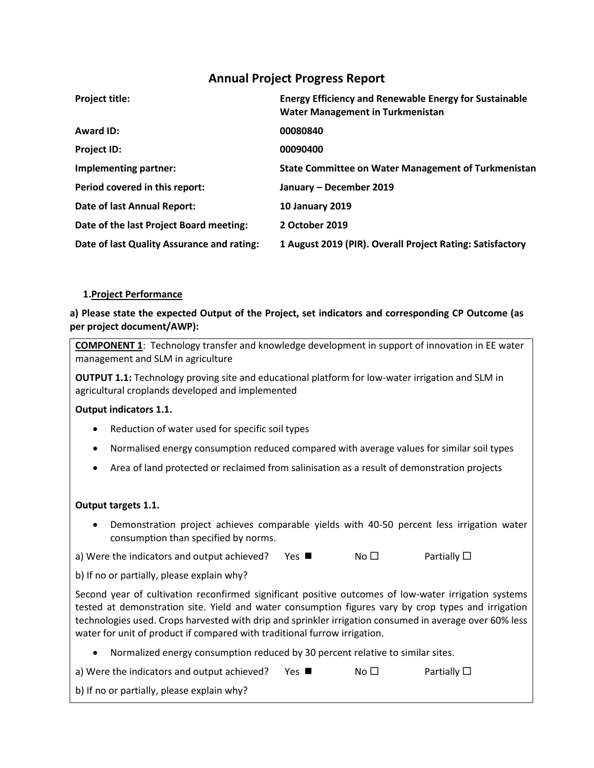# **Annual Project Progress Report**

| <b>Project title:</b>                      | <b>Energy Efficiency and Renewable Energy for Sustainable</b><br><b>Water Management in Turkmenistan</b> |
|--------------------------------------------|----------------------------------------------------------------------------------------------------------|
| Award ID:                                  | 00080840                                                                                                 |
| <b>Project ID:</b>                         | 00090400                                                                                                 |
| Implementing partner:                      | <b>State Committee on Water Management of Turkmenistan</b>                                               |
| Period covered in this report:             | January - December 2019                                                                                  |
| Date of last Annual Report:                | <b>10 January 2019</b>                                                                                   |
| Date of the last Project Board meeting:    | 2 October 2019                                                                                           |
| Date of last Quality Assurance and rating: | 1 August 2019 (PIR). Overall Project Rating: Satisfactory                                                |

### **1.Project Performance**

**a) Please state the expected Output of the Project, set indicators and corresponding CP Outcome (as per project document/AWP):**

**COMPONENT 1**: Technology transfer and knowledge development in support of innovation in EE water management and SLM in agriculture

**OUTPUT 1.1:** Technology proving site and educational platform for low-water irrigation and SLM in agricultural croplands developed and implemented

### **Output indicators 1.1.**

- Reduction of water used for specific soil types
- Normalised energy consumption reduced compared with average values for similar soil types
- Area of land protected or reclaimed from salinisation as a result of demonstration projects

### **Output targets 1.1.**

• Demonstration project achieves comparable yields with 40-50 percent less irrigation water consumption than specified by norms.

a) Were the indicators and output achieved? Yes  $\blacksquare$  No  $\square$  Partially  $\square$ 

b) If no or partially, please explain why?

Second year of cultivation reconfirmed significant positive outcomes of low-water irrigation systems tested at demonstration site. Yield and water consumption figures vary by crop types and irrigation technologies used. Crops harvested with drip and sprinkler irrigation consumed in average over 60% less water for unit of product if compared with traditional furrow irrigation.

- Normalized energy consumption reduced by 30 percent relative to similar sites.
- a) Were the indicators and output achieved? Yes  $\blacksquare$  No  $\square$  Partially  $\square$
- b) If no or partially, please explain why?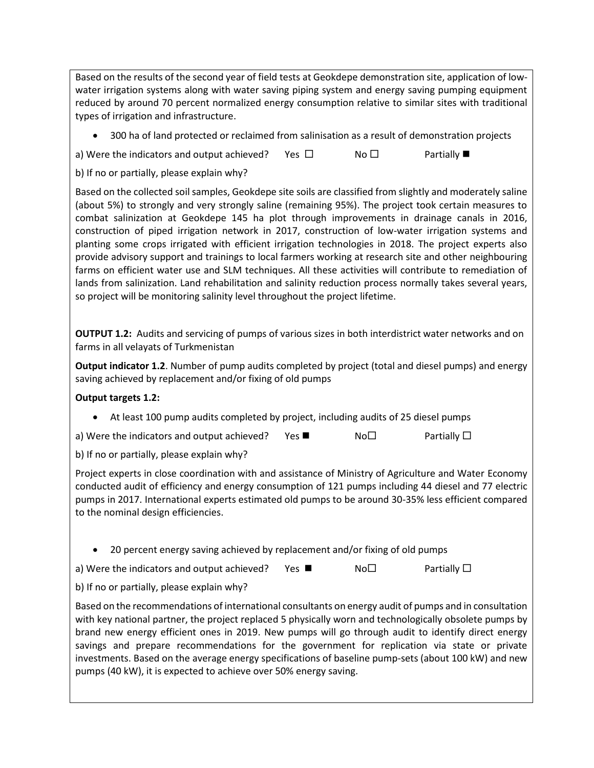Based on the results of the second year of field tests at Geokdepe demonstration site, application of lowwater irrigation systems along with water saving piping system and energy saving pumping equipment reduced by around 70 percent normalized energy consumption relative to similar sites with traditional types of irrigation and infrastructure.

• 300 ha of land protected or reclaimed from salinisation as a result of demonstration projects

a) Were the indicators and output achieved? Yes  $\square$  No  $\square$  Partially  $\square$ 

b) If no or partially, please explain why?

Based on the collected soil samples, Geokdepe site soils are classified from slightly and moderately saline (about 5%) to strongly and very strongly saline (remaining 95%). The project took certain measures to combat salinization at Geokdepe 145 ha plot through improvements in drainage canals in 2016, construction of piped irrigation network in 2017, construction of low-water irrigation systems and planting some crops irrigated with efficient irrigation technologies in 2018. The project experts also provide advisory support and trainings to local farmers working at research site and other neighbouring farms on efficient water use and SLM techniques. All these activities will contribute to remediation of lands from salinization. Land rehabilitation and salinity reduction process normally takes several years, so project will be monitoring salinity level throughout the project lifetime.

**OUTPUT 1.2:** Audits and servicing of pumps of various sizes in both interdistrict water networks and on farms in all velayats of Turkmenistan

**Output indicator 1.2**. Number of pump audits completed by project (total and diesel pumps) and energy saving achieved by replacement and/or fixing of old pumps

### **Output targets 1.2:**

• At least 100 pump audits completed by project, including audits of 25 diesel pumps

| a) Were the indicators and output achieved? |  | No <sub>D</sub> | Partially $\square$ |
|---------------------------------------------|--|-----------------|---------------------|
|---------------------------------------------|--|-----------------|---------------------|

b) If no or partially, please explain why?

Project experts in close coordination with and assistance of Ministry of Agriculture and Water Economy conducted audit of efficiency and energy consumption of 121 pumps including 44 diesel and 77 electric pumps in 2017. International experts estimated old pumps to be around 30-35% less efficient compared to the nominal design efficiencies.

• 20 percent energy saving achieved by replacement and/or fixing of old pumps

a) Were the indicators and output achieved? Yes  $\blacksquare$  No $\square$  Partially  $\square$ 

b) If no or partially, please explain why?

Based on the recommendations of international consultants on energy audit of pumps and in consultation with key national partner, the project replaced 5 physically worn and technologically obsolete pumps by brand new energy efficient ones in 2019. New pumps will go through audit to identify direct energy savings and prepare recommendations for the government for replication via state or private investments. Based on the average energy specifications of baseline pump-sets (about 100 kW) and new pumps (40 kW), it is expected to achieve over 50% energy saving.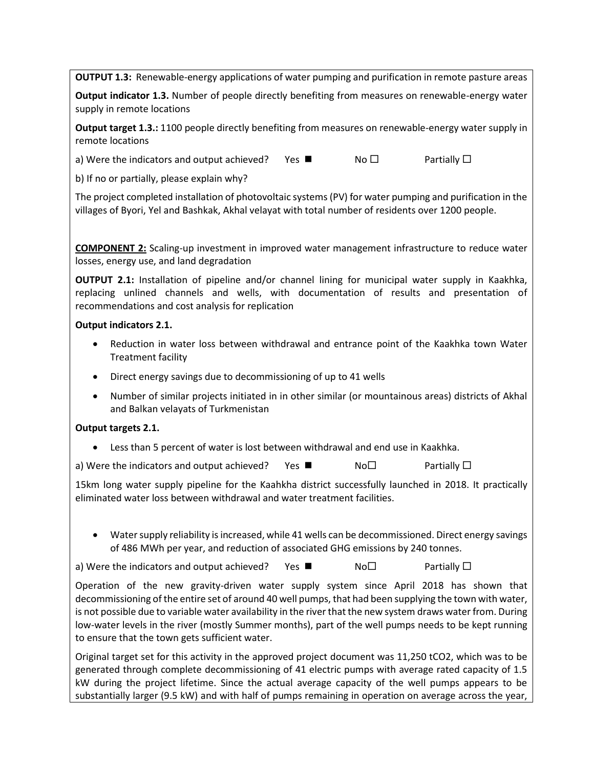**OUTPUT 1.3:** Renewable-energy applications of water pumping and purification in remote pasture areas

**Output indicator 1.3.** Number of people directly benefiting from measures on renewable-energy water supply in remote locations

**Output target 1.3.:** 1100 people directly benefiting from measures on renewable-energy water supply in remote locations

a) Were the indicators and output achieved? Yes  $\blacksquare$  No  $\square$  Partially  $\square$ 

b) If no or partially, please explain why?

The project completed installation of photovoltaic systems(PV) for water pumping and purification in the villages of Byori, Yel and Bashkak, Akhal velayat with total number of residents over 1200 people.

**COMPONENT 2:** Scaling-up investment in improved water management infrastructure to reduce water losses, energy use, and land degradation

**OUTPUT 2.1:** Installation of pipeline and/or channel lining for municipal water supply in Kaakhka, replacing unlined channels and wells, with documentation of results and presentation of recommendations and cost analysis for replication

### **Output indicators 2.1.**

- Reduction in water loss between withdrawal and entrance point of the Kaakhka town Water Treatment facility
- Direct energy savings due to decommissioning of up to 41 wells
- Number of similar projects initiated in in other similar (or mountainous areas) districts of Akhal and Balkan velayats of Turkmenistan

### **Output targets 2.1.**

• Less than 5 percent of water is lost between withdrawal and end use in Kaakhka.

a) Were the indicators and output achieved? Yes  $\blacksquare$  No  $\square$  Partially  $\square$ 

15km long water supply pipeline for the Kaahkha district successfully launched in 2018. It practically eliminated water loss between withdrawal and water treatment facilities.

• Water supply reliability is increased, while 41 wells can be decommissioned. Direct energy savings of 486 MWh per year, and reduction of associated GHG emissions by 240 tonnes.

a) Were the indicators and output achieved? Yes  $\blacksquare$  No $\Box$  Partially  $\Box$ 

Operation of the new gravity-driven water supply system since April 2018 has shown that decommissioning of the entire set of around 40 well pumps, that had been supplying the town with water, is not possible due to variable water availability in the river that the new system draws water from. During low-water levels in the river (mostly Summer months), part of the well pumps needs to be kept running to ensure that the town gets sufficient water.

Original target set for this activity in the approved project document was 11,250 tCO2, which was to be generated through complete decommissioning of 41 electric pumps with average rated capacity of 1.5 kW during the project lifetime. Since the actual average capacity of the well pumps appears to be substantially larger (9.5 kW) and with half of pumps remaining in operation on average across the year,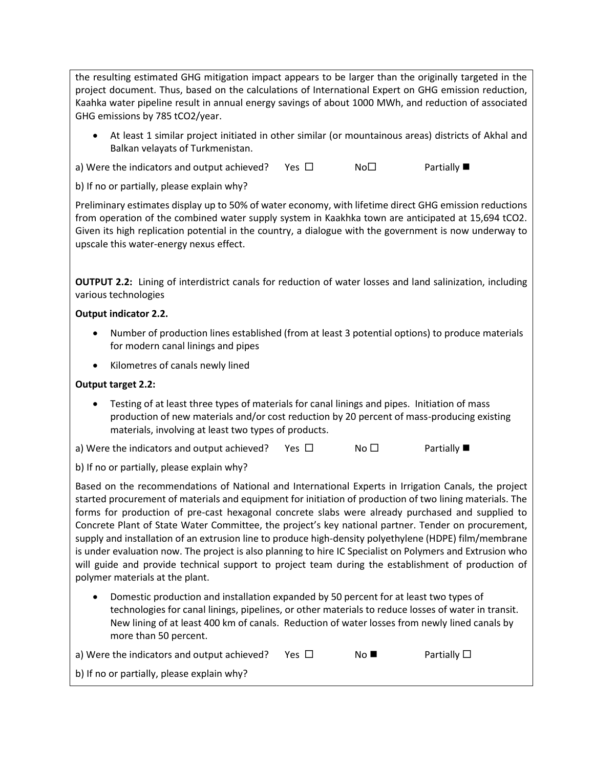the resulting estimated GHG mitigation impact appears to be larger than the originally targeted in the project document. Thus, based on the calculations of International Expert on GHG emission reduction, Kaahka water pipeline result in annual energy savings of about 1000 MWh, and reduction of associated GHG emissions by 785 tCO2/year.

- At least 1 similar project initiated in other similar (or mountainous areas) districts of Akhal and Balkan velayats of Turkmenistan.
- a) Were the indicators and output achieved? Yes  $\square$  No  $\square$  Partially
- b) If no or partially, please explain why?

Preliminary estimates display up to 50% of water economy, with lifetime direct GHG emission reductions from operation of the combined water supply system in Kaakhka town are anticipated at 15,694 tCO2. Given its high replication potential in the country, a dialogue with the government is now underway to upscale this water-energy nexus effect.

**OUTPUT 2.2:** Lining of interdistrict canals for reduction of water losses and land salinization, including various technologies

# **Output indicator 2.2.**

- Number of production lines established (from at least 3 potential options) to produce materials for modern canal linings and pipes
- Kilometres of canals newly lined

## **Output target 2.2:**

• Testing of at least three types of materials for canal linings and pipes. Initiation of mass production of new materials and/or cost reduction by 20 percent of mass-producing existing materials, involving at least two types of products.

a) Were the indicators and output achieved? Yes  $\square$  No  $\square$  Partially

b) If no or partially, please explain why?

Based on the recommendations of National and International Experts in Irrigation Canals, the project started procurement of materials and equipment for initiation of production of two lining materials. The forms for production of pre-cast hexagonal concrete slabs were already purchased and supplied to Concrete Plant of State Water Committee, the project's key national partner. Tender on procurement, supply and installation of an extrusion line to produce high-density polyethylene (HDPE) film/membrane is under evaluation now. The project is also planning to hire IC Specialist on Polymers and Extrusion who will guide and provide technical support to project team during the establishment of production of polymer materials at the plant.

• Domestic production and installation expanded by 50 percent for at least two types of technologies for canal linings, pipelines, or other materials to reduce losses of water in transit. New lining of at least 400 km of canals. Reduction of water losses from newly lined canals by more than 50 percent.

| a) Were the indicators and output achieved? | Yes $\sqcup$ | No L | Partially $\square$ |
|---------------------------------------------|--------------|------|---------------------|
| b) If no or partially, please explain why?  |              |      |                     |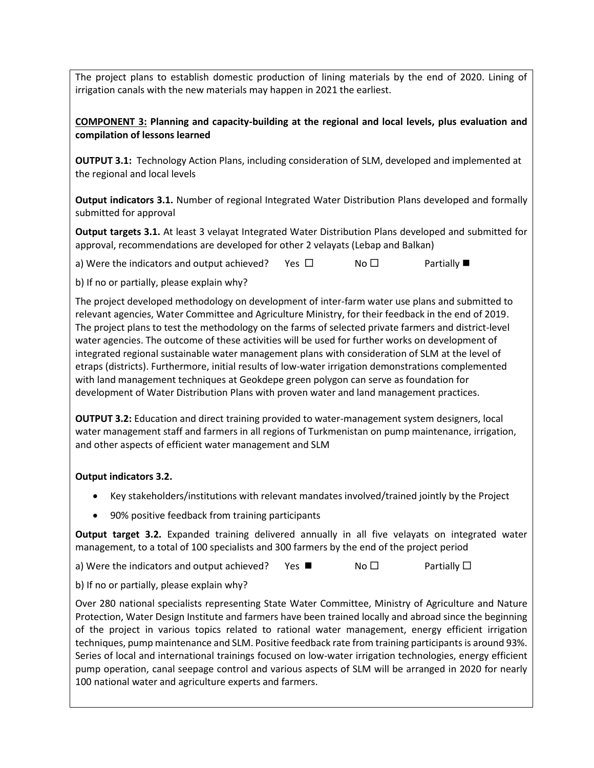The project plans to establish domestic production of lining materials by the end of 2020. Lining of irrigation canals with the new materials may happen in 2021 the earliest.

# **COMPONENT 3: Planning and capacity-building at the regional and local levels, plus evaluation and compilation of lessons learned**

**OUTPUT 3.1:** Technology Action Plans, including consideration of SLM, developed and implemented at the regional and local levels

**Output indicators 3.1.** Number of regional Integrated Water Distribution Plans developed and formally submitted for approval

**Output targets 3.1.** At least 3 velayat Integrated Water Distribution Plans developed and submitted for approval, recommendations are developed for other 2 velayats (Lebap and Balkan)

a) Were the indicators and output achieved? Yes  $\Box$  No  $\Box$  Partially

b) If no or partially, please explain why?

The project developed methodology on development of inter-farm water use plans and submitted to relevant agencies, Water Committee and Agriculture Ministry, for their feedback in the end of 2019. The project plans to test the methodology on the farms of selected private farmers and district-level water agencies. The outcome of these activities will be used for further works on development of integrated regional sustainable water management plans with consideration of SLM at the level of etraps (districts). Furthermore, initial results of low-water irrigation demonstrations complemented with land management techniques at Geokdepe green polygon can serve as foundation for development of Water Distribution Plans with proven water and land management practices.

**OUTPUT 3.2:** Education and direct training provided to water-management system designers, local water management staff and farmers in all regions of Turkmenistan on pump maintenance, irrigation, and other aspects of efficient water management and SLM

# **Output indicators 3.2.**

- Key stakeholders/institutions with relevant mandates involved/trained jointly by the Project
- 90% positive feedback from training participants

**Output target 3.2.** Expanded training delivered annually in all five velayats on integrated water management, to a total of 100 specialists and 300 farmers by the end of the project period

a) Were the indicators and output achieved? Yes  $\blacksquare$  No  $\square$  Partially  $\square$ 

b) If no or partially, please explain why?

Over 280 national specialists representing State Water Committee, Ministry of Agriculture and Nature Protection, Water Design Institute and farmers have been trained locally and abroad since the beginning of the project in various topics related to rational water management, energy efficient irrigation techniques, pump maintenance and SLM. Positive feedback rate from training participants is around 93%. Series of local and international trainings focused on low-water irrigation technologies, energy efficient pump operation, canal seepage control and various aspects of SLM will be arranged in 2020 for nearly 100 national water and agriculture experts and farmers.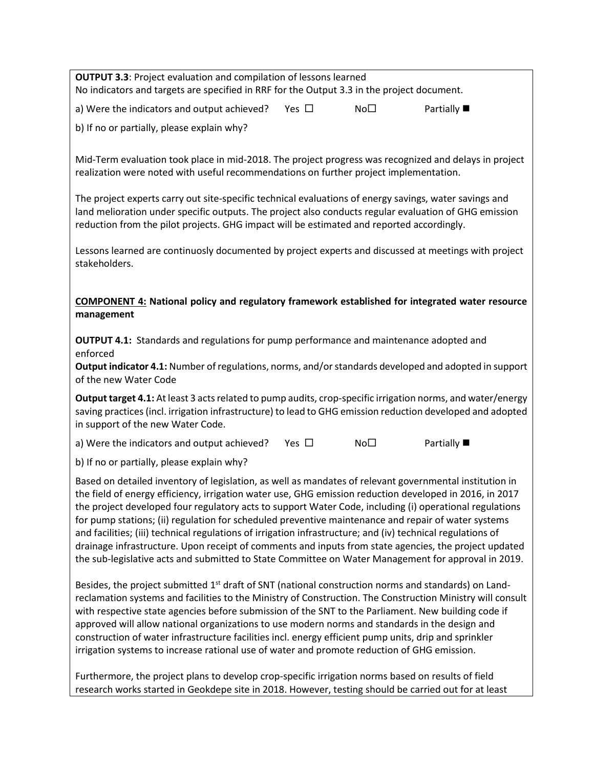**OUTPUT 3.3**: Project evaluation and compilation of lessons learned No indicators and targets are specified in RRF for the Output 3.3 in the project document. a) Were the indicators and output achieved? Yes  $\square$  No  $\square$  Partially b) If no or partially, please explain why? Mid-Term evaluation took place in mid-2018. The project progress was recognized and delays in project realization were noted with useful recommendations on further project implementation. The project experts carry out site-specific technical evaluations of energy savings, water savings and land melioration under specific outputs. The project also conducts regular evaluation of GHG emission reduction from the pilot projects. GHG impact will be estimated and reported accordingly. Lessons learned are continuosly documented by project experts and discussed at meetings with project stakeholders. **COMPONENT 4: National policy and regulatory framework established for integrated water resource management OUTPUT 4.1:** Standards and regulations for pump performance and maintenance adopted and enforced **Output indicator 4.1:** Number of regulations, norms, and/or standards developed and adopted in support of the new Water Code **Output target 4.1:** At least 3 acts related to pump audits, crop-specific irrigation norms, and water/energy saving practices (incl. irrigation infrastructure) to lead to GHG emission reduction developed and adopted in support of the new Water Code. a) Were the indicators and output achieved? Yes  $\square$  No  $\square$  Partially b) If no or partially, please explain why? Based on detailed inventory of legislation, as well as mandates of relevant governmental institution in the field of energy efficiency, irrigation water use, GHG emission reduction developed in 2016, in 2017 the project developed four regulatory acts to support Water Code, including (i) operational regulations for pump stations; (ii) regulation for scheduled preventive maintenance and repair of water systems and facilities; (iii) technical regulations of irrigation infrastructure; and (iv) technical regulations of drainage infrastructure. Upon receipt of comments and inputs from state agencies, the project updated the sub-legislative acts and submitted to State Committee on Water Management for approval in 2019. Besides, the project submitted  $1<sup>st</sup>$  draft of SNT (national construction norms and standards) on Landreclamation systems and facilities to the Ministry of Construction. The Construction Ministry will consult with respective state agencies before submission of the SNT to the Parliament. New building code if approved will allow national organizations to use modern norms and standards in the design and construction of water infrastructure facilities incl. energy efficient pump units, drip and sprinkler irrigation systems to increase rational use of water and promote reduction of GHG emission.

Furthermore, the project plans to develop crop-specific irrigation norms based on results of field research works started in Geokdepe site in 2018. However, testing should be carried out for at least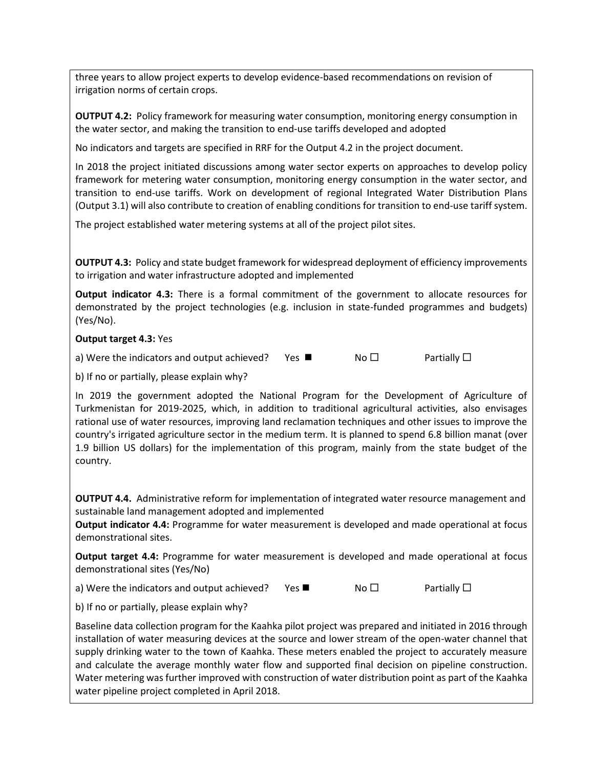three years to allow project experts to develop evidence-based recommendations on revision of irrigation norms of certain crops.

**OUTPUT 4.2:** Policy framework for measuring water consumption, monitoring energy consumption in the water sector, and making the transition to end-use tariffs developed and adopted

No indicators and targets are specified in RRF for the Output 4.2 in the project document.

In 2018 the project initiated discussions among water sector experts on approaches to develop policy framework for metering water consumption, monitoring energy consumption in the water sector, and transition to end-use tariffs. Work on development of regional Integrated Water Distribution Plans (Output 3.1) will also contribute to creation of enabling conditions for transition to end-use tariff system.

The project established water metering systems at all of the project pilot sites.

**OUTPUT 4.3:** Policy and state budget framework for widespread deployment of efficiency improvements to irrigation and water infrastructure adopted and implemented

**Output indicator 4.3:** There is a formal commitment of the government to allocate resources for demonstrated by the project technologies (e.g. inclusion in state-funded programmes and budgets) (Yes/No).

**Output target 4.3:** Yes

a) Were the indicators and output achieved? Yes  $\blacksquare$  No  $\square$  Partially  $\square$ 

b) If no or partially, please explain why?

In 2019 the government adopted the National Program for the Development of Agriculture of Turkmenistan for 2019-2025, which, in addition to traditional agricultural activities, also envisages rational use of water resources, improving land reclamation techniques and other issues to improve the country's irrigated agriculture sector in the medium term. It is planned to spend 6.8 billion manat (over 1.9 billion US dollars) for the implementation of this program, mainly from the state budget of the country.

**OUTPUT 4.4.** Administrative reform for implementation of integrated water resource management and sustainable land management adopted and implemented

**Output indicator 4.4:** Programme for water measurement is developed and made operational at focus demonstrational sites.

**Output target 4.4:** Programme for water measurement is developed and made operational at focus demonstrational sites (Yes/No)

a) Were the indicators and output achieved? Yes  $\blacksquare$  No  $\square$  Partially  $\square$ 

b) If no or partially, please explain why?

Baseline data collection program for the Kaahka pilot project was prepared and initiated in 2016 through installation of water measuring devices at the source and lower stream of the open-water channel that supply drinking water to the town of Kaahka. These meters enabled the project to accurately measure and calculate the average monthly water flow and supported final decision on pipeline construction. Water metering was further improved with construction of water distribution point as part of the Kaahka water pipeline project completed in April 2018.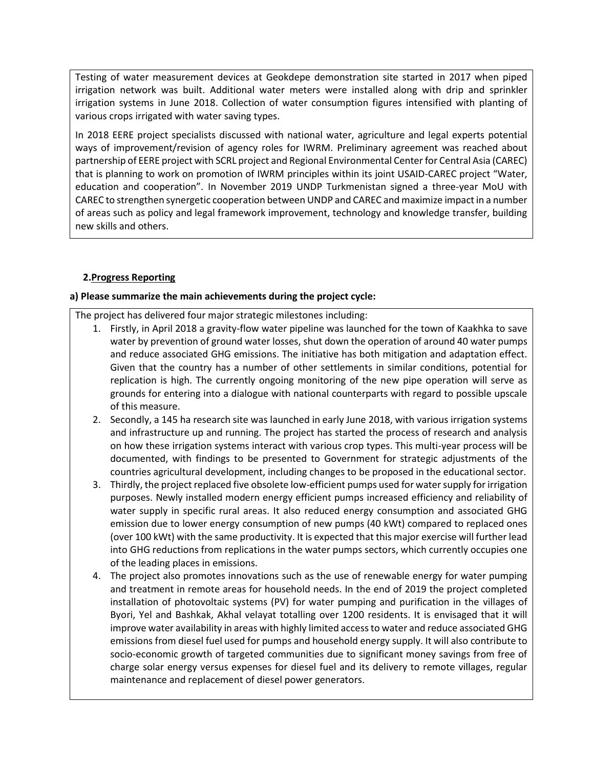Testing of water measurement devices at Geokdepe demonstration site started in 2017 when piped irrigation network was built. Additional water meters were installed along with drip and sprinkler irrigation systems in June 2018. Collection of water consumption figures intensified with planting of various crops irrigated with water saving types.

In 2018 EERE project specialists discussed with national water, agriculture and legal experts potential ways of improvement/revision of agency roles for IWRM. Preliminary agreement was reached about partnership of EERE project with SCRL project and Regional Environmental Center for Central Asia (CAREC) that is planning to work on promotion of IWRM principles within its joint USAID-CAREC project "Water, education and cooperation". In November 2019 UNDP Turkmenistan signed a three-year MoU with CAREC to strengthen synergetic cooperation between UNDP and CAREC and maximize impact in a number of areas such as policy and legal framework improvement, technology and knowledge transfer, building new skills and others.

# **2.Progress Reporting**

## **a) Please summarize the main achievements during the project cycle:**

The project has delivered four major strategic milestones including:

- 1. Firstly, in April 2018 a gravity-flow water pipeline was launched for the town of Kaakhka to save water by prevention of ground water losses, shut down the operation of around 40 water pumps and reduce associated GHG emissions. The initiative has both mitigation and adaptation effect. Given that the country has a number of other settlements in similar conditions, potential for replication is high. The currently ongoing monitoring of the new pipe operation will serve as grounds for entering into a dialogue with national counterparts with regard to possible upscale of this measure.
- 2. Secondly, a 145 ha research site was launched in early June 2018, with various irrigation systems and infrastructure up and running. The project has started the process of research and analysis on how these irrigation systems interact with various crop types. This multi-year process will be documented, with findings to be presented to Government for strategic adjustments of the countries agricultural development, including changes to be proposed in the educational sector.
- 3. Thirdly, the project replaced five obsolete low-efficient pumps used for water supply for irrigation purposes. Newly installed modern energy efficient pumps increased efficiency and reliability of water supply in specific rural areas. It also reduced energy consumption and associated GHG emission due to lower energy consumption of new pumps (40 kWt) compared to replaced ones (over 100 kWt) with the same productivity. It is expected that this major exercise will further lead into GHG reductions from replications in the water pumps sectors, which currently occupies one of the leading places in emissions.
- 4. The project also promotes innovations such as the use of renewable energy for water pumping and treatment in remote areas for household needs. In the end of 2019 the project completed installation of photovoltaic systems (PV) for water pumping and purification in the villages of Byori, Yel and Bashkak, Akhal velayat totalling over 1200 residents. It is envisaged that it will improve water availability in areas with highly limited access to water and reduce associated GHG emissions from diesel fuel used for pumps and household energy supply. It will also contribute to socio-economic growth of targeted communities due to significant money savings from free of charge solar energy versus expenses for diesel fuel and its delivery to remote villages, regular maintenance and replacement of diesel power generators.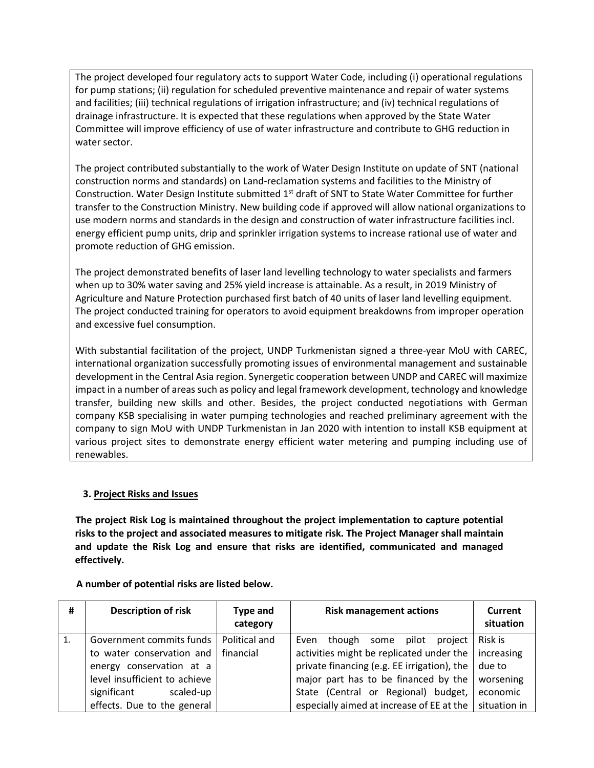The project developed four regulatory acts to support Water Code, including (i) operational regulations for pump stations; (ii) regulation for scheduled preventive maintenance and repair of water systems and facilities; (iii) technical regulations of irrigation infrastructure; and (iv) technical regulations of drainage infrastructure. It is expected that these regulations when approved by the State Water Committee will improve efficiency of use of water infrastructure and contribute to GHG reduction in water sector.

The project contributed substantially to the work of Water Design Institute on update of SNT (national construction norms and standards) on Land-reclamation systems and facilities to the Ministry of Construction. Water Design Institute submitted  $1<sup>st</sup>$  draft of SNT to State Water Committee for further transfer to the Construction Ministry. New building code if approved will allow national organizations to use modern norms and standards in the design and construction of water infrastructure facilities incl. energy efficient pump units, drip and sprinkler irrigation systems to increase rational use of water and promote reduction of GHG emission.

The project demonstrated benefits of laser land levelling technology to water specialists and farmers when up to 30% water saving and 25% yield increase is attainable. As a result, in 2019 Ministry of Agriculture and Nature Protection purchased first batch of 40 units of laser land levelling equipment. The project conducted training for operators to avoid equipment breakdowns from improper operation and excessive fuel consumption.

With substantial facilitation of the project, UNDP Turkmenistan signed a three-year MoU with CAREC, international organization successfully promoting issues of environmental management and sustainable development in the Central Asia region. Synergetic cooperation between UNDP and CAREC will maximize impact in a number of areas such as policy and legal framework development, technology and knowledge transfer, building new skills and other. Besides, the project conducted negotiations with German company KSB specialising in water pumping technologies and reached preliminary agreement with the company to sign MoU with UNDP Turkmenistan in Jan 2020 with intention to install KSB equipment at various project sites to demonstrate energy efficient water metering and pumping including use of renewables.

# **3. Project Risks and Issues**

**The project Risk Log is maintained throughout the project implementation to capture potential risks to the project and associated measures to mitigate risk. The Project Manager shall maintain and update the Risk Log and ensure that risks are identified, communicated and managed effectively.**

| #  | <b>Description of risk</b>               | <b>Type and</b><br>category | <b>Risk management actions</b>                              | Current<br>situation |
|----|------------------------------------------|-----------------------------|-------------------------------------------------------------|----------------------|
| 1. | Government commits funds   Political and |                             | though<br>some pilot project<br>Even                        | Risk is              |
|    | to water conservation and                | financial                   | activities might be replicated under the $\vert$ increasing |                      |
|    | energy conservation at a                 |                             | private financing (e.g. EE irrigation), the $ $             | due to               |
|    | level insufficient to achieve            |                             | major part has to be financed by the                        | worsening            |
|    | scaled-up<br>significant                 |                             | State (Central or Regional) budget,                         | economic             |
|    | effects. Due to the general              |                             | especially aimed at increase of EE at the   situation in    |                      |

**A number of potential risks are listed below.**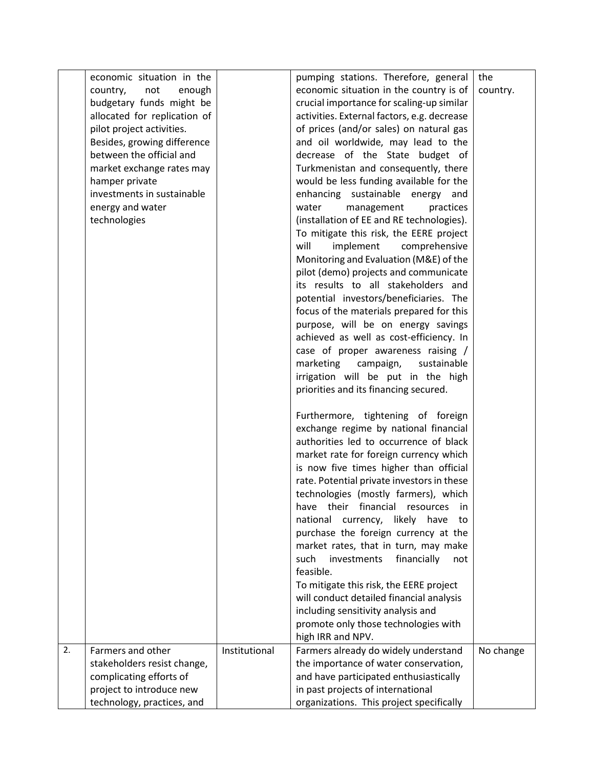|    | economic situation in the    |               | pumping stations. Therefore, general                                            | the       |
|----|------------------------------|---------------|---------------------------------------------------------------------------------|-----------|
|    | not<br>enough<br>country,    |               | economic situation in the country is of                                         | country.  |
|    | budgetary funds might be     |               | crucial importance for scaling-up similar                                       |           |
|    | allocated for replication of |               | activities. External factors, e.g. decrease                                     |           |
|    | pilot project activities.    |               | of prices (and/or sales) on natural gas                                         |           |
|    | Besides, growing difference  |               | and oil worldwide, may lead to the                                              |           |
|    | between the official and     |               | decrease of the State budget of                                                 |           |
|    | market exchange rates may    |               | Turkmenistan and consequently, there                                            |           |
|    | hamper private               |               | would be less funding available for the                                         |           |
|    | investments in sustainable   |               | enhancing sustainable energy<br>and                                             |           |
|    | energy and water             |               | water<br>management<br>practices                                                |           |
|    | technologies                 |               | (installation of EE and RE technologies).                                       |           |
|    |                              |               | To mitigate this risk, the EERE project                                         |           |
|    |                              |               | will<br>implement<br>comprehensive                                              |           |
|    |                              |               |                                                                                 |           |
|    |                              |               | Monitoring and Evaluation (M&E) of the<br>pilot (demo) projects and communicate |           |
|    |                              |               | its results to all stakeholders and                                             |           |
|    |                              |               | potential investors/beneficiaries. The                                          |           |
|    |                              |               | focus of the materials prepared for this                                        |           |
|    |                              |               | purpose, will be on energy savings                                              |           |
|    |                              |               | achieved as well as cost-efficiency. In                                         |           |
|    |                              |               | case of proper awareness raising /                                              |           |
|    |                              |               | marketing<br>sustainable<br>campaign,                                           |           |
|    |                              |               | irrigation will be put in the high                                              |           |
|    |                              |               | priorities and its financing secured.                                           |           |
|    |                              |               |                                                                                 |           |
|    |                              |               | Furthermore, tightening of foreign                                              |           |
|    |                              |               | exchange regime by national financial                                           |           |
|    |                              |               | authorities led to occurrence of black                                          |           |
|    |                              |               | market rate for foreign currency which                                          |           |
|    |                              |               | is now five times higher than official                                          |           |
|    |                              |               | rate. Potential private investors in these                                      |           |
|    |                              |               | technologies (mostly farmers), which                                            |           |
|    |                              |               | financial<br>have<br>their<br>resources<br>ın                                   |           |
|    |                              |               | national<br>currency,<br>likely have<br>to                                      |           |
|    |                              |               | purchase the foreign currency at the                                            |           |
|    |                              |               | market rates, that in turn, may make                                            |           |
|    |                              |               | financially<br>such<br>investments<br>not                                       |           |
|    |                              |               | feasible.                                                                       |           |
|    |                              |               | To mitigate this risk, the EERE project                                         |           |
|    |                              |               | will conduct detailed financial analysis                                        |           |
|    |                              |               | including sensitivity analysis and                                              |           |
|    |                              |               | promote only those technologies with                                            |           |
|    |                              |               | high IRR and NPV.                                                               |           |
| 2. | Farmers and other            | Institutional | Farmers already do widely understand                                            | No change |
|    | stakeholders resist change,  |               | the importance of water conservation,                                           |           |
|    | complicating efforts of      |               | and have participated enthusiastically                                          |           |
|    | project to introduce new     |               | in past projects of international                                               |           |
|    | technology, practices, and   |               | organizations. This project specifically                                        |           |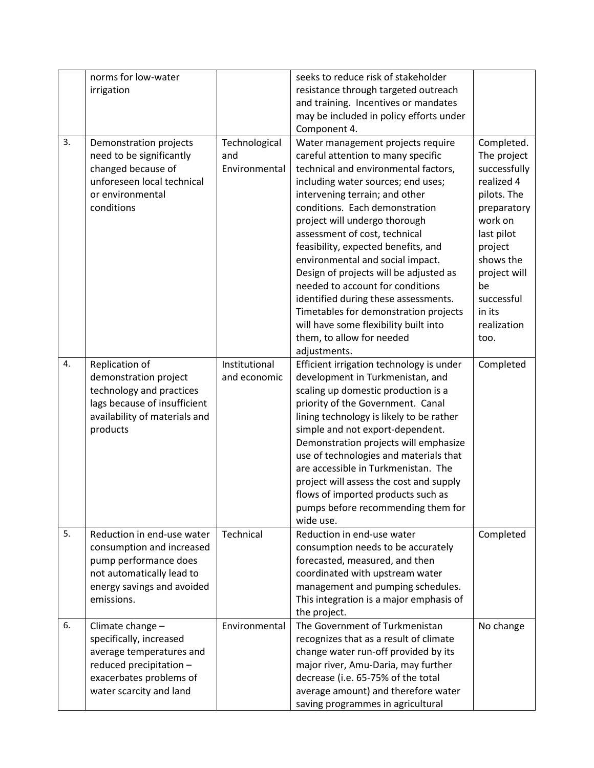|    | norms for low-water           |                  | seeks to reduce risk of stakeholder      |              |
|----|-------------------------------|------------------|------------------------------------------|--------------|
|    | irrigation                    |                  | resistance through targeted outreach     |              |
|    |                               |                  | and training. Incentives or mandates     |              |
|    |                               |                  | may be included in policy efforts under  |              |
|    |                               |                  | Component 4.                             |              |
| 3. | Demonstration projects        | Technological    | Water management projects require        | Completed.   |
|    | need to be significantly      | and              | careful attention to many specific       | The project  |
|    | changed because of            | Environmental    | technical and environmental factors,     | successfully |
|    | unforeseen local technical    |                  | including water sources; end uses;       | realized 4   |
|    | or environmental              |                  | intervening terrain; and other           | pilots. The  |
|    | conditions                    |                  | conditions. Each demonstration           | preparatory  |
|    |                               |                  | project will undergo thorough            | work on      |
|    |                               |                  | assessment of cost, technical            | last pilot   |
|    |                               |                  | feasibility, expected benefits, and      | project      |
|    |                               |                  | environmental and social impact.         | shows the    |
|    |                               |                  | Design of projects will be adjusted as   | project will |
|    |                               |                  | needed to account for conditions         | be           |
|    |                               |                  | identified during these assessments.     | successful   |
|    |                               |                  | Timetables for demonstration projects    | in its       |
|    |                               |                  | will have some flexibility built into    | realization  |
|    |                               |                  | them, to allow for needed                | too.         |
|    |                               |                  | adjustments.                             |              |
| 4. | Replication of                | Institutional    | Efficient irrigation technology is under | Completed    |
|    | demonstration project         | and economic     | development in Turkmenistan, and         |              |
|    | technology and practices      |                  | scaling up domestic production is a      |              |
|    | lags because of insufficient  |                  | priority of the Government. Canal        |              |
|    | availability of materials and |                  | lining technology is likely to be rather |              |
|    | products                      |                  | simple and not export-dependent.         |              |
|    |                               |                  | Demonstration projects will emphasize    |              |
|    |                               |                  | use of technologies and materials that   |              |
|    |                               |                  | are accessible in Turkmenistan. The      |              |
|    |                               |                  | project will assess the cost and supply  |              |
|    |                               |                  | flows of imported products such as       |              |
|    |                               |                  | pumps before recommending them for       |              |
|    |                               |                  | wide use.                                |              |
| 5. | Reduction in end-use water    | <b>Technical</b> | Reduction in end-use water               | Completed    |
|    | consumption and increased     |                  | consumption needs to be accurately       |              |
|    | pump performance does         |                  | forecasted, measured, and then           |              |
|    | not automatically lead to     |                  | coordinated with upstream water          |              |
|    | energy savings and avoided    |                  | management and pumping schedules.        |              |
|    | emissions.                    |                  | This integration is a major emphasis of  |              |
|    |                               |                  | the project.                             |              |
| 6. | Climate change -              | Environmental    | The Government of Turkmenistan           | No change    |
|    | specifically, increased       |                  | recognizes that as a result of climate   |              |
|    | average temperatures and      |                  | change water run-off provided by its     |              |
|    | reduced precipitation -       |                  | major river, Amu-Daria, may further      |              |
|    | exacerbates problems of       |                  | decrease (i.e. 65-75% of the total       |              |
|    | water scarcity and land       |                  | average amount) and therefore water      |              |
|    |                               |                  | saving programmes in agricultural        |              |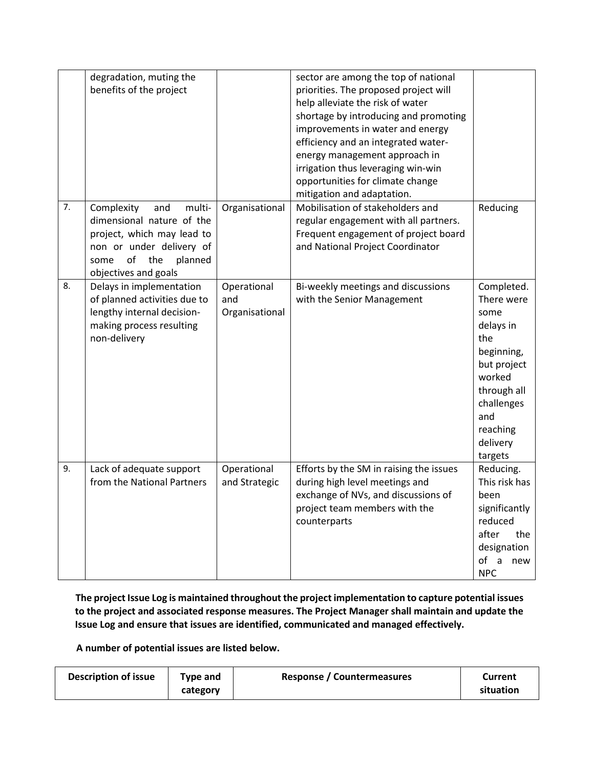|    | degradation, muting the<br>benefits of the project                                                                                                                         |                                      | sector are among the top of national<br>priorities. The proposed project will<br>help alleviate the risk of water<br>shortage by introducing and promoting<br>improvements in water and energy<br>efficiency and an integrated water-<br>energy management approach in<br>irrigation thus leveraging win-win<br>opportunities for climate change<br>mitigation and adaptation. |                                                                                                                                                                    |
|----|----------------------------------------------------------------------------------------------------------------------------------------------------------------------------|--------------------------------------|--------------------------------------------------------------------------------------------------------------------------------------------------------------------------------------------------------------------------------------------------------------------------------------------------------------------------------------------------------------------------------|--------------------------------------------------------------------------------------------------------------------------------------------------------------------|
| 7. | Complexity<br>multi-<br>and<br>dimensional nature of the<br>project, which may lead to<br>non or under delivery of<br>of<br>the<br>planned<br>some<br>objectives and goals | Organisational                       | Mobilisation of stakeholders and<br>regular engagement with all partners.<br>Frequent engagement of project board<br>and National Project Coordinator                                                                                                                                                                                                                          | Reducing                                                                                                                                                           |
| 8. | Delays in implementation<br>of planned activities due to<br>lengthy internal decision-<br>making process resulting<br>non-delivery                                         | Operational<br>and<br>Organisational | Bi-weekly meetings and discussions<br>with the Senior Management                                                                                                                                                                                                                                                                                                               | Completed.<br>There were<br>some<br>delays in<br>the<br>beginning,<br>but project<br>worked<br>through all<br>challenges<br>and<br>reaching<br>delivery<br>targets |
| 9. | Lack of adequate support<br>from the National Partners                                                                                                                     | Operational<br>and Strategic         | Efforts by the SM in raising the issues<br>during high level meetings and<br>exchange of NVs, and discussions of<br>project team members with the<br>counterparts                                                                                                                                                                                                              | Reducing.<br>This risk has<br>been<br>significantly<br>reduced<br>the<br>after<br>designation<br>of a new<br><b>NPC</b>                                            |

**The project Issue Log is maintained throughout the project implementation to capture potential issues to the project and associated response measures. The Project Manager shall maintain and update the Issue Log and ensure that issues are identified, communicated and managed effectively.**

**A number of potential issues are listed below.**

|  | <b>Description of issue</b> | Type and<br>category | <b>Response / Countermeasures</b> | Current<br>situation |
|--|-----------------------------|----------------------|-----------------------------------|----------------------|
|--|-----------------------------|----------------------|-----------------------------------|----------------------|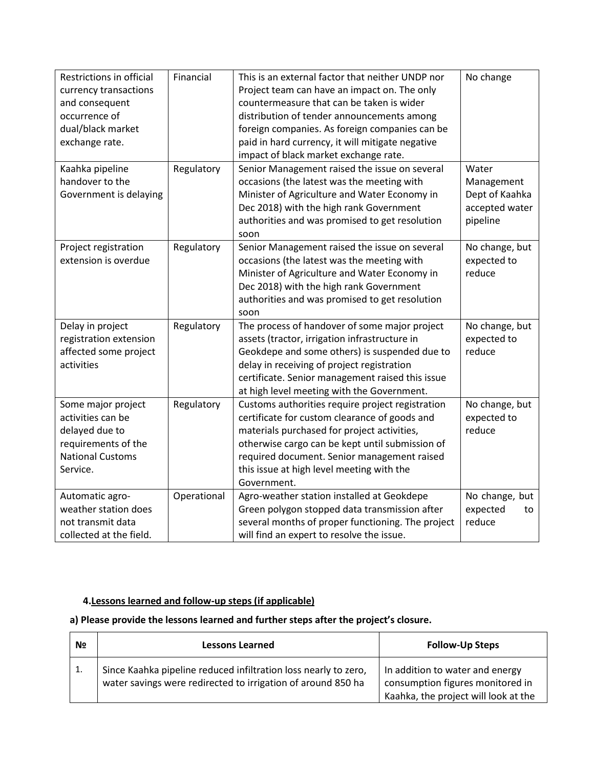| Restrictions in official<br>currency transactions<br>and consequent<br>occurrence of<br>dual/black market<br>exchange rate.<br>Kaahka pipeline<br>handover to the | Financial<br>Regulatory | This is an external factor that neither UNDP nor<br>Project team can have an impact on. The only<br>countermeasure that can be taken is wider<br>distribution of tender announcements among<br>foreign companies. As foreign companies can be<br>paid in hard currency, it will mitigate negative<br>impact of black market exchange rate.<br>Senior Management raised the issue on several<br>occasions (the latest was the meeting with | No change<br>Water<br>Management             |
|-------------------------------------------------------------------------------------------------------------------------------------------------------------------|-------------------------|-------------------------------------------------------------------------------------------------------------------------------------------------------------------------------------------------------------------------------------------------------------------------------------------------------------------------------------------------------------------------------------------------------------------------------------------|----------------------------------------------|
| Government is delaying                                                                                                                                            |                         | Minister of Agriculture and Water Economy in<br>Dec 2018) with the high rank Government<br>authorities and was promised to get resolution<br>soon                                                                                                                                                                                                                                                                                         | Dept of Kaahka<br>accepted water<br>pipeline |
| Project registration<br>extension is overdue                                                                                                                      | Regulatory              | Senior Management raised the issue on several<br>occasions (the latest was the meeting with<br>Minister of Agriculture and Water Economy in<br>Dec 2018) with the high rank Government<br>authorities and was promised to get resolution<br>soon                                                                                                                                                                                          | No change, but<br>expected to<br>reduce      |
| Delay in project<br>registration extension<br>affected some project<br>activities                                                                                 | Regulatory              | The process of handover of some major project<br>assets (tractor, irrigation infrastructure in<br>Geokdepe and some others) is suspended due to<br>delay in receiving of project registration<br>certificate. Senior management raised this issue<br>at high level meeting with the Government.                                                                                                                                           | No change, but<br>expected to<br>reduce      |
| Some major project<br>activities can be<br>delayed due to<br>requirements of the<br><b>National Customs</b><br>Service.                                           | Regulatory              | Customs authorities require project registration<br>certificate for custom clearance of goods and<br>materials purchased for project activities,<br>otherwise cargo can be kept until submission of<br>required document. Senior management raised<br>this issue at high level meeting with the<br>Government.                                                                                                                            | No change, but<br>expected to<br>reduce      |
| Automatic agro-<br>weather station does<br>not transmit data<br>collected at the field.                                                                           | Operational             | Agro-weather station installed at Geokdepe<br>Green polygon stopped data transmission after<br>several months of proper functioning. The project<br>will find an expert to resolve the issue.                                                                                                                                                                                                                                             | No change, but<br>expected<br>to<br>reduce   |

# **4.Lessons learned and follow-up steps (if applicable)**

 $\mathbf{r}$ 

# **a) Please provide the lessons learned and further steps after the project's closure.**

| N <sub>2</sub> | <b>Lessons Learned</b>                                                                                                          | <b>Follow-Up Steps</b>                                                                                      |
|----------------|---------------------------------------------------------------------------------------------------------------------------------|-------------------------------------------------------------------------------------------------------------|
| 1.             | Since Kaahka pipeline reduced infiltration loss nearly to zero,<br>water savings were redirected to irrigation of around 850 ha | In addition to water and energy<br>consumption figures monitored in<br>Kaahka, the project will look at the |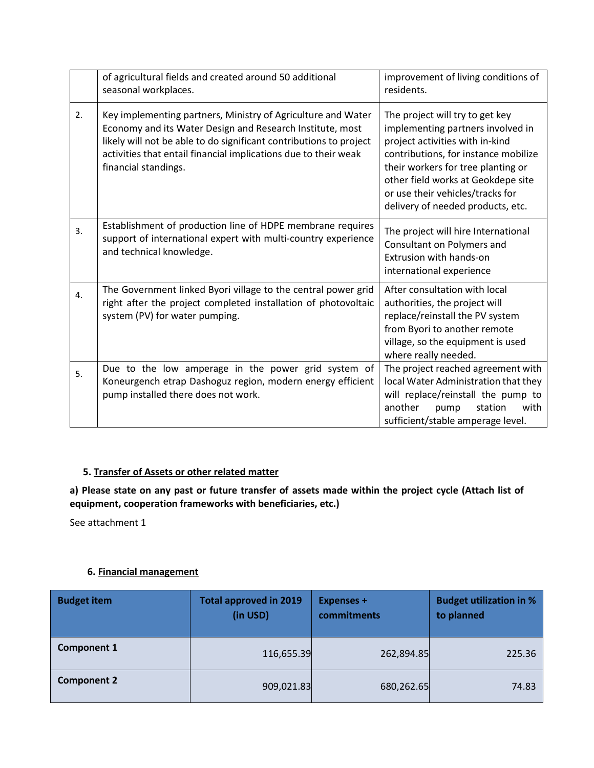|    | of agricultural fields and created around 50 additional<br>seasonal workplaces.                                                                                                                                                                                                            | improvement of living conditions of<br>residents.                                                                                                                                                                                                                                                    |  |
|----|--------------------------------------------------------------------------------------------------------------------------------------------------------------------------------------------------------------------------------------------------------------------------------------------|------------------------------------------------------------------------------------------------------------------------------------------------------------------------------------------------------------------------------------------------------------------------------------------------------|--|
| 2. | Key implementing partners, Ministry of Agriculture and Water<br>Economy and its Water Design and Research Institute, most<br>likely will not be able to do significant contributions to project<br>activities that entail financial implications due to their weak<br>financial standings. | The project will try to get key<br>implementing partners involved in<br>project activities with in-kind<br>contributions, for instance mobilize<br>their workers for tree planting or<br>other field works at Geokdepe site<br>or use their vehicles/tracks for<br>delivery of needed products, etc. |  |
| 3. | Establishment of production line of HDPE membrane requires<br>support of international expert with multi-country experience<br>and technical knowledge.                                                                                                                                    | The project will hire International<br>Consultant on Polymers and<br>Extrusion with hands-on<br>international experience                                                                                                                                                                             |  |
| 4. | The Government linked Byori village to the central power grid<br>right after the project completed installation of photovoltaic<br>system (PV) for water pumping.                                                                                                                          | After consultation with local<br>authorities, the project will<br>replace/reinstall the PV system<br>from Byori to another remote<br>village, so the equipment is used<br>where really needed.                                                                                                       |  |
| 5. | Due to the low amperage in the power grid system of<br>Koneurgench etrap Dashoguz region, modern energy efficient<br>pump installed there does not work.                                                                                                                                   | The project reached agreement with<br>local Water Administration that they<br>will replace/reinstall the pump to<br>another<br>with<br>pump<br>station<br>sufficient/stable amperage level.                                                                                                          |  |

# **5. Transfer of Assets or other related matter**

**a) Please state on any past or future transfer of assets made within the project cycle (Attach list of equipment, cooperation frameworks with beneficiaries, etc.)**

See attachment 1

# **6. Financial management**

| <b>Budget item</b> | <b>Total approved in 2019</b><br>(in USD) | <b>Expenses +</b><br>commitments | <b>Budget utilization in %</b><br>to planned |
|--------------------|-------------------------------------------|----------------------------------|----------------------------------------------|
| <b>Component 1</b> | 116,655.39                                | 262,894.85                       | 225.36                                       |
| <b>Component 2</b> | 909,021.83                                | 680,262.65                       | 74.83                                        |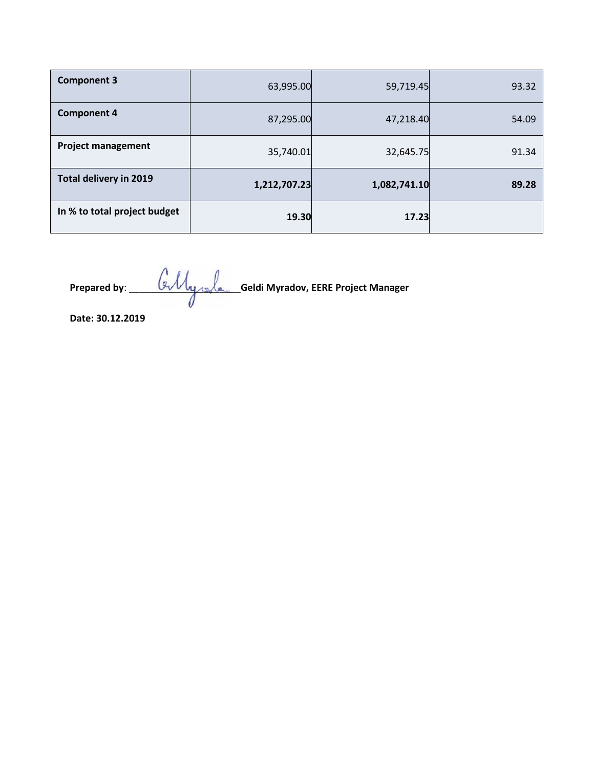| <b>Component 3</b>            | 63,995.00    | 59,719.45    | 93.32 |
|-------------------------------|--------------|--------------|-------|
| <b>Component 4</b>            | 87,295.00    | 47,218.40    | 54.09 |
| <b>Project management</b>     | 35,740.01    | 32,645.75    | 91.34 |
| <b>Total delivery in 2019</b> | 1,212,707.23 | 1,082,741.10 | 89.28 |
| In % to total project budget  | 19.30        | 17.23        |       |

**Prepared by**: \_\_\_\_\_\_\_\_\_\_\_\_\_\_\_\_\_\_\_\_\_**Geldi Myradov, EERE Project Manager**

**Date: 30.12.2019**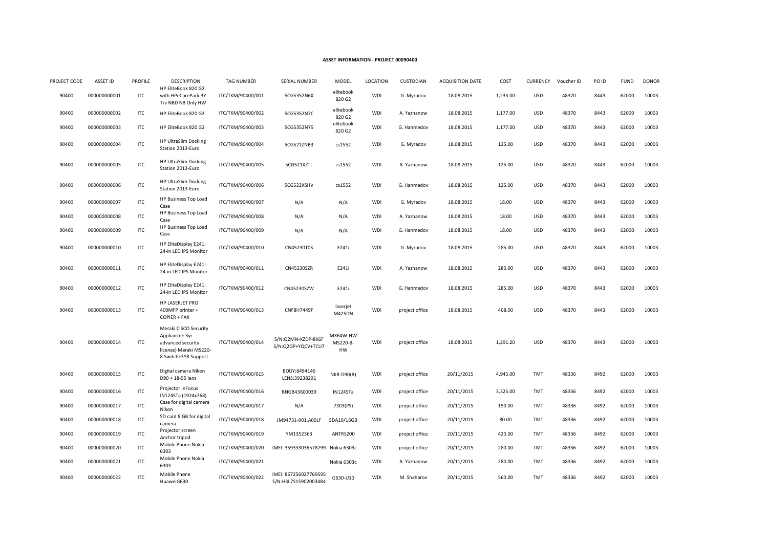#### **ASSET INFORMATION - PROJECT 00090400**

| PROJECT CODE | <b>ASSET ID</b> | <b>PROFILE</b> | <b>DESCRIPTION</b>                                                                                             | <b>TAG NUMBER</b> | <b>SERIAL NUMBER</b>                          | MODEL                      | LOCATION   | <b>CUSTODIAN</b> | <b>ACQUISITION DATE</b> | COST     | <b>CURRENCY</b> | Voucher ID | PO ID | <b>FUND</b> | <b>DONOR</b> |
|--------------|-----------------|----------------|----------------------------------------------------------------------------------------------------------------|-------------------|-----------------------------------------------|----------------------------|------------|------------------|-------------------------|----------|-----------------|------------|-------|-------------|--------------|
| 90400        | 000000000001    | ITC            | HP EliteBook 820 G2<br>with HPeCarePack 3Y<br>Trv NBD NB Only HW                                               | ITC/TKM/90400/001 | 5CG5352N6X                                    | elitebook<br>820 G2        | WDI        | G. Myradov       | 18.08.2015              | 1,233.00 | <b>USD</b>      | 48370      | 8443  | 62000       | 10003        |
| 90400        | 000000000002    | ITC            | HP EliteBook 820 G2                                                                                            | ITC/TKM/90400/002 | 5CG5352N7C                                    | elitebook<br>820 G2        | WDI        | A. Yazhanow      | 18.08.2015              | 1,177.00 | <b>USD</b>      | 48370      | 8443  | 62000       | 10003        |
| 90400        | 000000000003    | ITC            | HP EliteBook 820 G2                                                                                            | ITC/TKM/90400/003 | 5CG5352N75                                    | elitebook<br>820 G2        | <b>WDI</b> | G. Hanmedov      | 18.08.2015              | 1,177.00 | <b>USD</b>      | 48370      | 8443  | 62000       | 10003        |
| 90400        | 000000000004    | <b>ITC</b>     | <b>HP UltraSlim Docking</b><br>Station 2013-Euro                                                               | ITC/TKM/90400/004 | 5CG521ZNB3                                    | cs1552                     | WDI        | G. Myradov       | 18.08.2015              | 125.00   | <b>USD</b>      | 48370      | 8443  | 62000       | 10003        |
| 90400        | 000000000005    | ITC            | <b>HP UltraSlim Docking</b><br>Station 2013-Euro                                                               | ITC/TKM/90400/005 | 5CG521XZTL                                    | cs1552                     | WDI        | A. Yazhanow      | 18.08.2015              | 125.00   | <b>USD</b>      | 48370      | 8443  | 62000       | 10003        |
| 90400        | 000000000006    | <b>ITC</b>     | <b>HP UltraSlim Docking</b><br>Station 2013-Euro                                                               | ITC/TKM/90400/006 | 5CG522XSHV                                    | cs1552                     | WDI        | G. Hanmedov      | 18.08.2015              | 125.00   | <b>USD</b>      | 48370      | 8443  | 62000       | 10003        |
| 90400        | 000000000007    | <b>ITC</b>     | HP Business Top Load<br>Case                                                                                   | ITC/TKM/90400/007 | N/A                                           | N/A                        | <b>WDI</b> | G. Myradov       | 18.08.2015              | 18.00    | <b>USD</b>      | 48370      | 8443  | 62000       | 10003        |
| 90400        | 000000000008    | ITC            | HP Business Top Load<br>Case                                                                                   | ITC/TKM/90400/008 | N/A                                           | N/A                        | WDI        | A. Yazhanow      | 18.08.2015              | 18.00    | <b>USD</b>      | 48370      | 8443  | 62000       | 10003        |
| 90400        | 000000000009    | ITC            | HP Business Top Load<br>Case                                                                                   | ITC/TKM/90400/009 | N/A                                           | N/A                        | WDI        | G. Hanmedov      | 18.08.2015              | 18.00    | <b>USD</b>      | 48370      | 8443  | 62000       | 10003        |
| 90400        | 000000000010    | <b>ITC</b>     | HP EliteDisplay E241i<br>24-in LED IPS Monitor                                                                 | ITC/TKM/90400/010 | CN45230T0S                                    | E241i                      | WDI        | G. Myradov       | 18.08.2015              | 285.00   | <b>USD</b>      | 48370      | 8443  | 62000       | 10003        |
| 90400        | 000000000011    | ITC            | HP EliteDisplay E241i<br>24-in LED IPS Monitor                                                                 | ITC/TKM/90400/011 | CN45230SZR                                    | E241i                      | <b>WDI</b> | A. Yazhanow      | 18.08.2015              | 285.00   | <b>USD</b>      | 48370      | 8443  | 62000       | 10003        |
| 90400        | 000000000012    | ITC            | HP EliteDisplay E241i<br>24-in LED IPS Monitor                                                                 | ITC/TKM/90400/012 | CN45230SZW                                    | E241i                      | WDI        | G. Hanmedov      | 18.08.2015              | 285.00   | <b>USD</b>      | 48370      | 8443  | 62000       | 10003        |
| 90400        | 000000000013    | ITC            | HP LASERJET PRO<br>400MFP printer +<br>COPIER + FAX                                                            | ITC/TKM/90400/013 | <b>CNF8H7449F</b>                             | laserjet<br>M425DN         | <b>WDI</b> | project office   | 18.08.2015              | 408.00   | <b>USD</b>      | 48370      | 8443  | 62000       | 10003        |
| 90400        | 000000000014    | ITC            | Meraki CISCO Security<br>Appliance+ 3yr<br>advanced security<br>license) Meraki MS220-<br>8 Switch+3YR Support | ITC/TKM/90400/014 | S/N:Q2MN-KZDP-8K6F<br>S/N:Q2GP+YQCV+TCU7      | MX64W-HW<br>MS220-8-<br>HW | <b>WDI</b> | project office   | 18.08.2015              | 1,291.20 | <b>USD</b>      | 48370      | 8443  | 62000       | 10003        |
| 90400        | 000000000015    | ITC            | Digital camera Nikon<br>D90 + 18-55 lens                                                                       | ITC/TKM/90400/015 | BODY:8494146<br>LENS:39238291                 | <b>NKR-D90(B)</b>          | <b>WDI</b> | project office   | 20/11/2015              | 4,945.00 | TMT             | 48336      | 8492  | 62000       | 10003        |
| 90400        | 000000000016    | ITC            | Projector InFocus<br>IN124STa (1924x768)                                                                       | ITC/TKM/90400/016 | BNGB43600039                                  | IN124STa                   | <b>WDI</b> | project office   | 20/11/2015              | 3,325.00 | TMT             | 48336      | 8492  | 62000       | 10003        |
| 90400        | 000000000017    | <b>ITC</b>     | Case for digital camera<br>Nikon                                                                               | ITC/TKM/90400/017 | N/A                                           | 7303(PS)                   | WDI        | project office   | 20/11/2015              | 150.00   | <b>TMT</b>      | 48336      | 8492  | 62000       | 10003        |
| 90400        | 000000000018    | ITC            | SD card 8 GB for digital<br>camera                                                                             | ITC/TKM/90400/018 | JM94731-901.A00LF                             | SDA10/16GB                 | WDI        | project office   | 20/11/2015              | 80.00    | TMT             | 48336      | 8492  | 62000       | 10003        |
| 90400        | 000000000019    | ITC            | Projector screen<br>Anchor tripod                                                                              | ITC/TKM/90400/019 | YM1352363                                     | ANTRS200                   | WDI        | project office   | 20/11/2015              | 420.00   | TMT             | 48336      | 8492  | 62000       | 10003        |
| 90400        | 000000000020    | <b>ITC</b>     | Mobile Phone Nokia<br>6303                                                                                     | ITC/TKM/90400/020 | IMEI: 359333036578799 Nokia 6303c             |                            | WDI        | project office   | 20/11/2015              | 280.00   | TMT             | 48336      | 8492  | 62000       | 10003        |
| 90400        | 000000000021    | ITC            | Mobile Phone Nokia<br>6303                                                                                     | ITC/TKM/90400/021 |                                               | Nokia 6303c                | WDI        | A. Yazhanow      | 20/11/2015              | 280.00   | <b>TMT</b>      | 48336      | 8492  | 62000       | 10003        |
| 90400        | 000000000022    | ITC            | Mobile Phone<br>HuaweiG630                                                                                     | ITC/TKM/90400/022 | IMEI: 867256027769595<br>S/N:H3L7S15902003484 | G630-U10                   | WDI        | M. Shaharov      | 20/11/2015              | 560.00   | <b>TMT</b>      | 48336      | 8492  | 62000       | 10003        |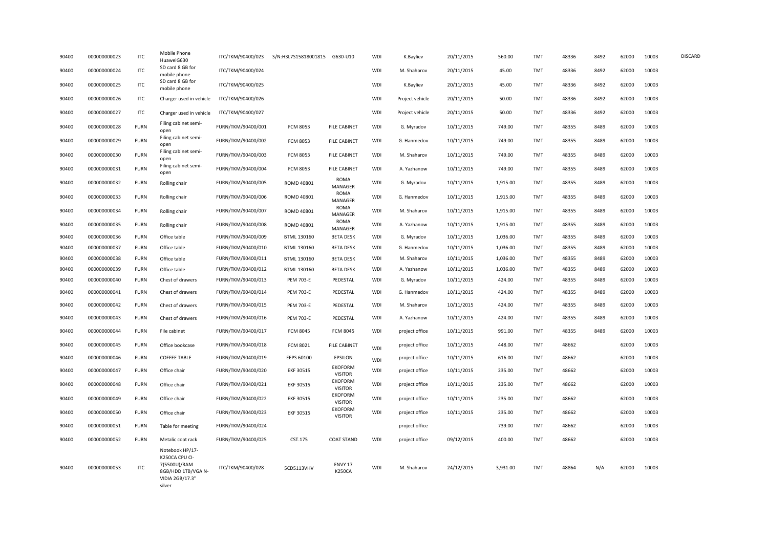| 90400 | 000000000023 | <b>ITC</b>  | Mobile Phone<br>HuaweiG630                                                                           | ITC/TKM/90400/023  | S/N:H3L7S15818001815 G630-U10 |                                  | WDI        | K.Bayliev       | 20/11/2015 | 560.00   | <b>TMT</b> | 48336 | 8492 | 62000 | 10003 | <b>DISCARD</b> |
|-------|--------------|-------------|------------------------------------------------------------------------------------------------------|--------------------|-------------------------------|----------------------------------|------------|-----------------|------------|----------|------------|-------|------|-------|-------|----------------|
| 90400 | 000000000024 | <b>ITC</b>  | SD card 8 GB for<br>mobile phone                                                                     | ITC/TKM/90400/024  |                               |                                  | WDI        | M. Shaharov     | 20/11/2015 | 45.00    | <b>TMT</b> | 48336 | 8492 | 62000 | 10003 |                |
| 90400 | 000000000025 | <b>ITC</b>  | SD card 8 GB for<br>mobile phone                                                                     | ITC/TKM/90400/025  |                               |                                  | <b>WDI</b> | K.Bayliev       | 20/11/2015 | 45.00    | <b>TMT</b> | 48336 | 8492 | 62000 | 10003 |                |
| 90400 | 000000000026 | <b>ITC</b>  | Charger used in vehicle                                                                              | ITC/TKM/90400/026  |                               |                                  | <b>WDI</b> | Project vehicle | 20/11/2015 | 50.00    | TMT        | 48336 | 8492 | 62000 | 10003 |                |
| 90400 | 000000000027 | <b>ITC</b>  | Charger used in vehicle                                                                              | ITC/TKM/90400/027  |                               |                                  | <b>WDI</b> | Project vehicle | 20/11/2015 | 50.00    | <b>TMT</b> | 48336 | 8492 | 62000 | 10003 |                |
| 90400 | 000000000028 | <b>FURN</b> | Filing cabinet semi-<br>open                                                                         | FURN/TKM/90400/001 | <b>FCM 8053</b>               | <b>FILE CABINET</b>              | <b>WDI</b> | G. Myradov      | 10/11/2015 | 749.00   | <b>TMT</b> | 48355 | 8489 | 62000 | 10003 |                |
| 90400 | 000000000029 | <b>FURN</b> | Filing cabinet semi-<br>open                                                                         | FURN/TKM/90400/002 | <b>FCM 8053</b>               | <b>FILE CABINET</b>              | WDI        | G. Hanmedov     | 10/11/2015 | 749.00   | <b>TMT</b> | 48355 | 8489 | 62000 | 10003 |                |
| 90400 | 000000000030 | <b>FURN</b> | Filing cabinet semi-<br>open                                                                         | FURN/TKM/90400/003 | <b>FCM 8053</b>               | <b>FILE CABINET</b>              | <b>WDI</b> | M. Shaharov     | 10/11/2015 | 749.00   | TMT        | 48355 | 8489 | 62000 | 10003 |                |
| 90400 | 000000000031 | <b>FURN</b> | Filing cabinet semi-<br>open                                                                         | FURN/TKM/90400/004 | <b>FCM 8053</b>               | <b>FILE CABINET</b>              | WDI        | A. Yazhanow     | 10/11/2015 | 749.00   | TMT        | 48355 | 8489 | 62000 | 10003 |                |
| 90400 | 000000000032 | <b>FURN</b> | Rolling chair                                                                                        | FURN/TKM/90400/005 | ROMD 40801                    | ROMA<br>MANAGER                  | <b>WDI</b> | G. Myradov      | 10/11/2015 | 1,915.00 | TMT        | 48355 | 8489 | 62000 | 10003 |                |
| 90400 | 000000000033 | <b>FURN</b> | Rolling chair                                                                                        | FURN/TKM/90400/006 | ROMD 40801                    | ROMA<br>MANAGER                  | <b>WDI</b> | G. Hanmedov     | 10/11/2015 | 1,915.00 | TMT        | 48355 | 8489 | 62000 | 10003 |                |
| 90400 | 000000000034 | <b>FURN</b> | Rolling chair                                                                                        | FURN/TKM/90400/007 | ROMD 40801                    | <b>ROMA</b><br>MANAGER           | WDI        | M. Shaharov     | 10/11/2015 | 1,915.00 | TMT        | 48355 | 8489 | 62000 | 10003 |                |
| 90400 | 000000000035 | <b>FURN</b> | Rolling chair                                                                                        | FURN/TKM/90400/008 | ROMD 40801                    | <b>ROMA</b><br>MANAGER           | <b>WDI</b> | A. Yazhanow     | 10/11/2015 | 1,915.00 | TMT        | 48355 | 8489 | 62000 | 10003 |                |
| 90400 | 000000000036 | <b>FURN</b> | Office table                                                                                         | FURN/TKM/90400/009 | BTML 130160                   | <b>BETA DESK</b>                 | WDI        | G. Myradov      | 10/11/2015 | 1,036.00 | TMT        | 48355 | 8489 | 62000 | 10003 |                |
| 90400 | 000000000037 | <b>FURN</b> | Office table                                                                                         | FURN/TKM/90400/010 | BTML 130160                   | <b>BETA DESK</b>                 | <b>WDI</b> | G. Hanmedov     | 10/11/2015 | 1,036.00 | TMT        | 48355 | 8489 | 62000 | 10003 |                |
| 90400 | 000000000038 | <b>FURN</b> | Office table                                                                                         | FURN/TKM/90400/011 | BTML 130160                   | <b>BETA DESK</b>                 | <b>WDI</b> | M. Shaharov     | 10/11/2015 | 1,036.00 | TMT        | 48355 | 8489 | 62000 | 10003 |                |
| 90400 | 000000000039 | <b>FURN</b> | Office table                                                                                         | FURN/TKM/90400/012 | BTML 130160                   | <b>BETA DESK</b>                 | WDI        | A. Yazhanow     | 10/11/2015 | 1,036.00 | TMT        | 48355 | 8489 | 62000 | 10003 |                |
| 90400 | 000000000040 | <b>FURN</b> | Chest of drawers                                                                                     | FURN/TKM/90400/013 | <b>PEM 703-E</b>              | PEDESTAL                         | WDI        | G. Myradov      | 10/11/2015 | 424.00   | TMT        | 48355 | 8489 | 62000 | 10003 |                |
| 90400 | 000000000041 | <b>FURN</b> | Chest of drawers                                                                                     | FURN/TKM/90400/014 | <b>PEM 703-E</b>              | PEDESTAL                         | WDI        | G. Hanmedov     | 10/11/2015 | 424.00   | <b>TMT</b> | 48355 | 8489 | 62000 | 10003 |                |
| 90400 | 000000000042 | <b>FURN</b> | Chest of drawers                                                                                     | FURN/TKM/90400/015 | <b>PEM 703-E</b>              | PEDESTAL                         | WDI        | M. Shaharov     | 10/11/2015 | 424.00   | <b>TMT</b> | 48355 | 8489 | 62000 | 10003 |                |
| 90400 | 000000000043 | <b>FURN</b> | Chest of drawers                                                                                     | FURN/TKM/90400/016 | <b>PEM 703-E</b>              | PEDESTAL                         | <b>WDI</b> | A. Yazhanow     | 10/11/2015 | 424.00   | TMT        | 48355 | 8489 | 62000 | 10003 |                |
| 90400 | 000000000044 | <b>FURN</b> | File cabinet                                                                                         | FURN/TKM/90400/017 | <b>FCM 8045</b>               | <b>FCM 8045</b>                  | <b>WDI</b> | project office  | 10/11/2015 | 991.00   | <b>TMT</b> | 48355 | 8489 | 62000 | 10003 |                |
| 90400 | 000000000045 | <b>FURN</b> | Office bookcase                                                                                      | FURN/TKM/90400/018 | <b>FCM 8021</b>               | <b>FILE CABINET</b>              | <b>WDI</b> | project office  | 10/11/2015 | 448.00   | TMT        | 48662 |      | 62000 | 10003 |                |
| 90400 | 000000000046 | <b>FURN</b> | <b>COFFEE TABLE</b>                                                                                  | FURN/TKM/90400/019 | EEPS 60100                    | EPSILON                          | <b>WDI</b> | project office  | 10/11/2015 | 616.00   | TMT        | 48662 |      | 62000 | 10003 |                |
| 90400 | 000000000047 | <b>FURN</b> | Office chair                                                                                         | FURN/TKM/90400/020 | EKF 30515                     | EKOFORM<br><b>VISITOR</b>        | WDI        | project office  | 10/11/2015 | 235.00   | TMT        | 48662 |      | 62000 | 10003 |                |
| 90400 | 000000000048 | <b>FURN</b> | Office chair                                                                                         | FURN/TKM/90400/021 | EKF 30515                     | <b>EKOFORM</b><br><b>VISITOR</b> | <b>WDI</b> | project office  | 10/11/2015 | 235.00   | TMT        | 48662 |      | 62000 | 10003 |                |
| 90400 | 000000000049 | <b>FURN</b> | Office chair                                                                                         | FURN/TKM/90400/022 | EKF 30515                     | <b>EKOFORM</b><br><b>VISITOR</b> | <b>WDI</b> | project office  | 10/11/2015 | 235.00   | <b>TMT</b> | 48662 |      | 62000 | 10003 |                |
| 90400 | 000000000050 | <b>FURN</b> | Office chair                                                                                         | FURN/TKM/90400/023 | EKF 30515                     | <b>EKOFORM</b><br><b>VISITOR</b> | <b>WDI</b> | project office  | 10/11/2015 | 235.00   | <b>TMT</b> | 48662 |      | 62000 | 10003 |                |
| 90400 | 000000000051 | <b>FURN</b> | Table for meeting                                                                                    | FURN/TKM/90400/024 |                               |                                  |            | project office  |            | 739.00   | <b>TMT</b> | 48662 |      | 62000 | 10003 |                |
| 90400 | 000000000052 | <b>FURN</b> | Metalic coat rack                                                                                    | FURN/TKM/90400/025 | CST.175                       | <b>COAT STAND</b>                | <b>WDI</b> | project office  | 09/12/2015 | 400.00   | <b>TMT</b> | 48662 |      | 62000 | 10003 |                |
| 90400 | 000000000053 | <b>ITC</b>  | Notebook HP/17-<br>K250CA CPU CI-<br>7(5500U)/RAM<br>8GB/HDD 1TB/VGA N-<br>VIDIA 2GB/17.3"<br>silver | ITC/TKM/90400/028  | 5CD5113VHV                    | ENVY 17<br><b>K250CA</b>         | <b>WDI</b> | M. Shaharov     | 24/12/2015 | 3,931.00 | <b>TMT</b> | 48864 | N/A  | 62000 | 10003 |                |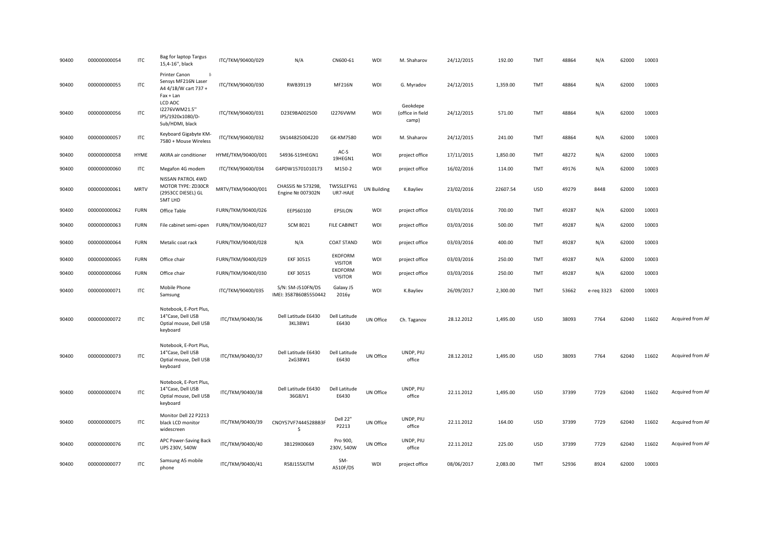| 90400 | 000000000054 | <b>ITC</b>  | Bag for laptop Targus<br>15,4-16", black                                          | ITC/TKM/90400/029  | N/A                                        | CN600-61                         | WDI                | M. Shaharov                           | 24/12/2015 | 192.00   | <b>TMT</b> | 48864 | N/A        | 62000 | 10003 |                  |
|-------|--------------|-------------|-----------------------------------------------------------------------------------|--------------------|--------------------------------------------|----------------------------------|--------------------|---------------------------------------|------------|----------|------------|-------|------------|-------|-------|------------------|
| 90400 | 000000000055 | <b>ITC</b>  | Printer Canon<br>-14<br>Sensys MF216N Laser<br>A4 4/1B/W cart 737 +<br>Fax + Lan  | ITC/TKM/90400/030  | RWB39119                                   | <b>MF216N</b>                    | WDI                | G. Myradov                            | 24/12/2015 | 1,359.00 | <b>TMT</b> | 48864 | N/A        | 62000 | 10003 |                  |
| 90400 | 000000000056 | <b>ITC</b>  | LCD AOC<br>I2276VWM21.5"<br>IPS/1920x1080/D-<br>Sub/HDMI, black                   | ITC/TKM/90400/031  | D23E9BA002500                              | <b>I2276VWM</b>                  | WDI                | Geokdepe<br>(office in field<br>camp) | 24/12/2015 | 571.00   | <b>TMT</b> | 48864 | N/A        | 62000 | 10003 |                  |
| 90400 | 000000000057 | <b>ITC</b>  | Keyboard Gigabyte KM-<br>7580 + Mouse Wireless                                    | ITC/TKM/90400/032  | SN144825004220                             | <b>GK-KM7580</b>                 | WDI                | M. Shaharov                           | 24/12/2015 | 241.00   | TMT        | 48864 | N/A        | 62000 | 10003 |                  |
| 90400 | 000000000058 | HYME        | AKIRA air conditioner                                                             | HYME/TKM/90400/001 | 54936-S19HEGN1                             | AC-S<br>19HEGN1                  | WDI                | project office                        | 17/11/2015 | 1,850.00 | <b>TMT</b> | 48272 | N/A        | 62000 | 10003 |                  |
| 90400 | 000000000060 | <b>ITC</b>  | Megafon 4G modem                                                                  | ITC/TKM/90400/034  | G4PDW15701010173                           | M150-2                           | WDI                | project office                        | 16/02/2016 | 114.00   | <b>TMT</b> | 49176 | N/A        | 62000 | 10003 |                  |
| 90400 | 000000000061 | <b>MRTV</b> | NISSAN PATROL 4WD<br>MOTOR TYPE: ZD30CR<br>(2953CC DIESEL) GL<br><b>5MT LHD</b>   | MRTV/TKM/90400/001 | CHASSIS № 573298,<br>Engine Nº 007302N     | TWSSLEFY61<br>UR7-HAJE           | <b>UN Building</b> | K.Bayliev                             | 23/02/2016 | 22607.54 | <b>USD</b> | 49279 | 8448       | 62000 | 10003 |                  |
| 90400 | 000000000062 | <b>FURN</b> | Office Table                                                                      | FURN/TKM/90400/026 | EEPS60100                                  | EPSILON                          | WDI                | project office                        | 03/03/2016 | 700.00   | <b>TMT</b> | 49287 | N/A        | 62000 | 10003 |                  |
| 90400 | 000000000063 | <b>FURN</b> | File cabinet semi-open                                                            | FURN/TKM/90400/027 | <b>SCM 8021</b>                            | <b>FILE CABINET</b>              | WDI                | project office                        | 03/03/2016 | 500.00   | <b>TMT</b> | 49287 | N/A        | 62000 | 10003 |                  |
| 90400 | 000000000064 | <b>FURN</b> | Metalic coat rack                                                                 | FURN/TKM/90400/028 | N/A                                        | <b>COAT STAND</b>                | WDI                | project office                        | 03/03/2016 | 400.00   | <b>TMT</b> | 49287 | N/A        | 62000 | 10003 |                  |
| 90400 | 000000000065 | <b>FURN</b> | Office chair                                                                      | FURN/TKM/90400/029 | EKF 30515                                  | <b>EKOFORM</b><br><b>VISITOR</b> | WDI                | project office                        | 03/03/2016 | 250.00   | <b>TMT</b> | 49287 | N/A        | 62000 | 10003 |                  |
| 90400 | 000000000066 | <b>FURN</b> | Office chair                                                                      | FURN/TKM/90400/030 | EKF 30515                                  | <b>EKOFORM</b><br><b>VISITOR</b> | WDI                | project office                        | 03/03/2016 | 250.00   | <b>TMT</b> | 49287 | N/A        | 62000 | 10003 |                  |
| 90400 | 000000000071 | ITC         | Mobile Phone<br>Samsung                                                           | ITC/TKM/90400/035  | S/N: SM-J510FN/DS<br>IMEI: 358786085550442 | Galaxy J5<br>2016y               | WDI                | K.Bayliev                             | 26/09/2017 | 2,300.00 | <b>TMT</b> | 53662 | e-reg 3323 | 62000 | 10003 |                  |
| 90400 | 000000000072 | <b>ITC</b>  | Notebook, E-Port Plus,<br>14"Case, Dell USB<br>Optial mouse, Dell USB<br>keyboard | ITC/TKM/90400/36   | Dell Latitude E6430<br>3KL38W1             | Dell Latitude<br>E6430           | UN Office          | Ch. Taganov                           | 28.12.2012 | 1,495.00 | <b>USD</b> | 38093 | 7764       | 62040 | 11602 | Acquired from AF |
| 90400 | 000000000073 | ITC         | Notebook, E-Port Plus,<br>14"Case, Dell USB<br>Optial mouse, Dell USB<br>keyboard | ITC/TKM/90400/37   | Dell Latitude E6430<br>2xG38W1             | Dell Latitude<br>E6430           | UN Office          | UNDP, PIU<br>office                   | 28.12.2012 | 1,495.00 | <b>USD</b> | 38093 | 7764       | 62040 | 11602 | Acquired from AF |
| 90400 | 000000000074 | ITC         | Notebook, E-Port Plus,<br>14"Case, Dell USB<br>Optial mouse, Dell USB<br>keyboard | ITC/TKM/90400/38   | Dell Latitude E6430<br>36G8JV1             | Dell Latitude<br>E6430           | UN Office          | UNDP, PIU<br>office                   | 22.11.2012 | 1,495.00 | <b>USD</b> | 37399 | 7729       | 62040 | 11602 | Acquired from AF |
| 90400 | 000000000075 | <b>ITC</b>  | Monitor Dell 22 P2213<br>black LCD monitor<br>widescreen                          | ITC/TKM/90400/39   | CNOY57VF7444528BB3F<br><sub>S</sub>        | Dell 22"<br>P2213                | UN Office          | UNDP, PIU<br>office                   | 22.11.2012 | 164.00   | <b>USD</b> | 37399 | 7729       | 62040 | 11602 | Acquired from AF |
| 90400 | 000000000076 | <b>ITC</b>  | APC Power-Saving Back<br>UPS 230V, 540W                                           | ITC/TKM/90400/40   | 3B129X00669                                | Pro 900,<br>230V, 540W           | UN Office          | UNDP, PIU<br>office                   | 22.11.2012 | 225.00   | <b>USD</b> | 37399 | 7729       | 62040 | 11602 | Acquired from AF |
| 90400 | 000000000077 | <b>ITC</b>  | Samsung A5 mobile<br>phone                                                        | ITC/TKM/90400/41   | R58J155XJTM                                | SM-<br>A510F/DS                  | WDI                | project office                        | 08/06/2017 | 2,083.00 | <b>TMT</b> | 52936 | 8924       | 62000 | 10003 |                  |